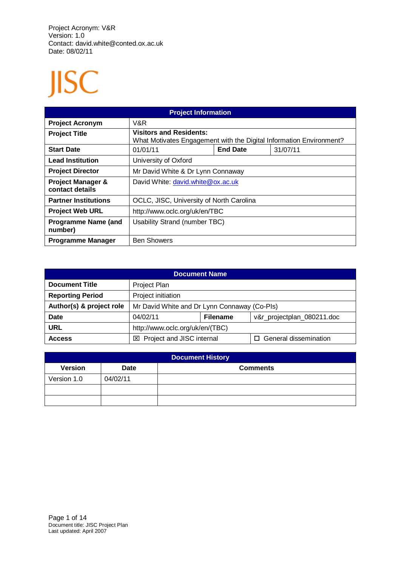# J ζ C

|                                                 | <b>Project Information</b>               |                 |                                                                     |  |
|-------------------------------------------------|------------------------------------------|-----------------|---------------------------------------------------------------------|--|
| <b>Project Acronym</b>                          | V&R.                                     |                 |                                                                     |  |
| <b>Project Title</b>                            | <b>Visitors and Residents:</b>           |                 | What Motivates Engagement with the Digital Information Environment? |  |
| <b>Start Date</b>                               | 01/01/11                                 | <b>End Date</b> | 31/07/11                                                            |  |
| <b>Lead Institution</b>                         | University of Oxford                     |                 |                                                                     |  |
| <b>Project Director</b>                         | Mr David White & Dr Lynn Connaway        |                 |                                                                     |  |
| <b>Project Manager &amp;</b><br>contact details | David White: david.white@ox.ac.uk        |                 |                                                                     |  |
| <b>Partner Institutions</b>                     | OCLC, JISC, University of North Carolina |                 |                                                                     |  |
| <b>Project Web URL</b>                          | http://www.oclc.org/uk/en/TBC            |                 |                                                                     |  |
| <b>Programme Name (and</b><br>number)           | Usability Strand (number TBC)            |                 |                                                                     |  |
| <b>Programme Manager</b>                        | <b>Ben Showers</b>                       |                 |                                                                     |  |

| <b>Document Name</b>     |                                                           |                                              |  |  |  |
|--------------------------|-----------------------------------------------------------|----------------------------------------------|--|--|--|
| <b>Document Title</b>    | Project Plan                                              |                                              |  |  |  |
| <b>Reporting Period</b>  | Project initiation                                        |                                              |  |  |  |
| Author(s) & project role |                                                           | Mr David White and Dr Lynn Connaway (Co-PIs) |  |  |  |
| Date                     | 04/02/11<br><b>Filename</b><br>v&r_projectplan_080211.doc |                                              |  |  |  |
| <b>URL</b>               | http://www.oclc.org/uk/en/(TBC)                           |                                              |  |  |  |
| <b>Access</b>            | Project and JISC internal<br>General dissemination<br>⊠   |                                              |  |  |  |

| <b>Document History</b> |          |                 |  |  |
|-------------------------|----------|-----------------|--|--|
| <b>Version</b>          | Date     | <b>Comments</b> |  |  |
| Version 1.0             | 04/02/11 |                 |  |  |
|                         |          |                 |  |  |
|                         |          |                 |  |  |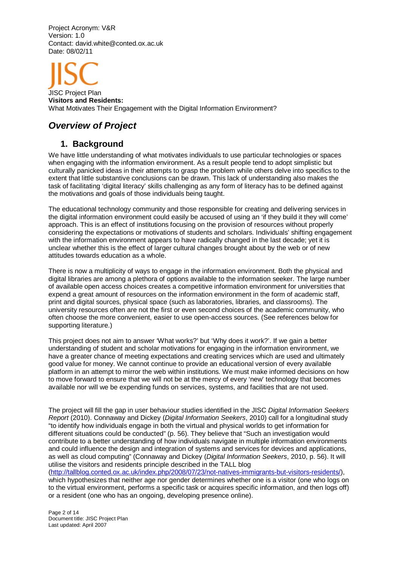JISC Project Plan **Visitors and Residents:** What Motivates Their Engagement with the Digital Information Environment?

# *Overview of Project*

## **1. Background**

We have little understanding of what motivates individuals to use particular technologies or spaces when engaging with the information environment. As a result people tend to adopt simplistic but culturally panicked ideas in their attempts to grasp the problem while others delve into specifics to the extent that little substantive conclusions can be drawn. This lack of understanding also makes the task of facilitating 'digital literacy' skills challenging as any form of literacy has to be defined against the motivations and goals of those individuals being taught.

The educational technology community and those responsible for creating and delivering services in the digital information environment could easily be accused of using an 'if they build it they will come' approach. This is an effect of institutions focusing on the provision of resources without properly considering the expectations or motivations of students and scholars. Individuals' shifting engagement with the information environment appears to have radically changed in the last decade; yet it is unclear whether this is the effect of larger cultural changes brought about by the web or of new attitudes towards education as a whole.

There is now a multiplicity of ways to engage in the information environment. Both the physical and digital libraries are among a plethora of options available to the information seeker. The large number of available open access choices creates a competitive information environment for universities that expend a great amount of resources on the information environment in the form of academic staff, print and digital sources, physical space (such as laboratories, libraries, and classrooms). The university resources often are not the first or even second choices of the academic community, who often choose the more convenient, easier to use open-access sources. (See references below for supporting literature.)

This project does not aim to answer 'What works?' but 'Why does it work?'. If we gain a better understanding of student and scholar motivations for engaging in the information environment, we have a greater chance of meeting expectations and creating services which are used and ultimately good value for money. We cannot continue to provide an educational version of every available platform in an attempt to mirror the web within institutions. We must make informed decisions on how to move forward to ensure that we will not be at the mercy of every 'new' technology that becomes available nor will we be expending funds on services, systems, and facilities that are not used.

The project will fill the gap in user behaviour studies identified in the JISC *Digital Information Seekers Report* (2010). Connaway and Dickey (*Digital Information Seekers*, 2010) call for a longitudinal study "to identify how individuals engage in both the virtual and physical worlds to get information for different situations could be conducted" (p. 56). They believe that "Such an investigation would contribute to a better understanding of how individuals navigate in multiple information environments and could influence the design and integration of systems and services for devices and applications, as well as cloud computing" (Connaway and Dickey (*Digital Information Seekers*, 2010, p. 56). It will utilise the visitors and residents principle described in the TALL blog [\(http://tallblog.conted.ox.ac.uk/index.php/2008/07/23/not-natives-immigrants-but-visitors-residents/\)](http://tallblog.conted.ox.ac.uk/index.php/2008/07/23/not-natives-immigrants-but-visitors-residents/),

which hypothesizes that neither age nor gender determines whether one is a visitor (one who logs on to the virtual environment, performs a specific task or acquires specific information, and then logs off) or a resident (one who has an ongoing, developing presence online).

Page 2 of 14 Document title: JISC Project Plan Last updated: April 2007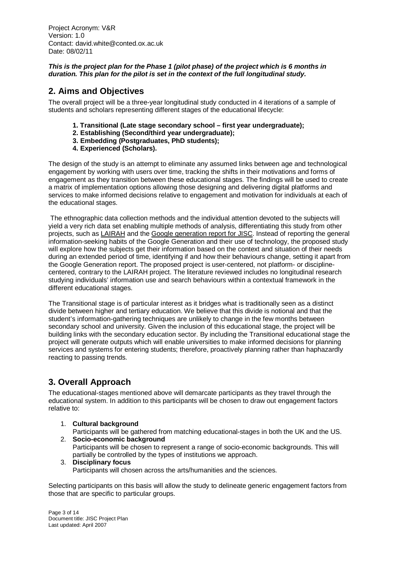#### *This is the project plan for the Phase 1 (pilot phase) of the project which is 6 months in duration. This plan for the pilot is set in the context of the full longitudinal study.*

## **2. Aims and Objectives**

The overall project will be a three-year longitudinal study conducted in 4 iterations of a sample of students and scholars representing different stages of the educational lifecycle:

- **1. Transitional (Late stage secondary school – first year undergraduate);**
- **2. Establishing (Second/third year undergraduate);**
- **3. Embedding (Postgraduates, PhD students);**
- **4. Experienced (Scholars).**

The design of the study is an attempt to eliminate any assumed links between age and technological engagement by working with users over time, tracking the shifts in their motivations and forms of engagement as they transition between these educational stages. The findings will be used to create a matrix of implementation options allowing those designing and delivering digital platforms and services to make informed decisions relative to engagement and motivation for individuals at each of the educational stages.

The ethnographic data collection methods and the individual attention devoted to the subjects will yield a very rich data set enabling multiple methods of analysis, differentiating this study from other projects, such as [LAIRAH](http://www.ucl.ac.uk/infostudies/LAIRAH/) and the [Google generation report for JISC.](http://www.jisc.ac.uk/whatwedo/programmes/resourcediscovery/googlegen.aspx) Instead of reporting the general information-seeking habits of the Google Generation and their use of technology, the proposed study will explore how the subjects get their information based on the context and situation of their needs during an extended period of time, identifying if and how their behaviours change, setting it apart from the Google Generation report. The proposed project is user-centered, not platform- or disciplinecentered, contrary to the LAIRAH project. The literature reviewed includes no longitudinal research studying individuals' information use and search behaviours within a contextual framework in the different educational stages.

The Transitional stage is of particular interest as it bridges what is traditionally seen as a distinct divide between higher and tertiary education. We believe that this divide is notional and that the student's information-gathering techniques are unlikely to change in the few months between secondary school and university. Given the inclusion of this educational stage, the project will be building links with the secondary education sector. By including the Transitional educational stage the project will generate outputs which will enable universities to make informed decisions for planning services and systems for entering students; therefore, proactively planning rather than haphazardly reacting to passing trends.

# **3. Overall Approach**

The educational-stages mentioned above will demarcate participants as they travel through the educational system. In addition to this participants will be chosen to draw out engagement factors relative to:

- 1. **Cultural background**
- Participants will be gathered from matching educational-stages in both the UK and the US. 2. **Socio-economic background**
- Participants will be chosen to represent a range of socio-economic backgrounds. This will partially be controlled by the types of institutions we approach.
- 3. **Disciplinary focus** Participants will chosen across the arts/humanities and the sciences.

Selecting participants on this basis will allow the study to delineate generic engagement factors from those that are specific to particular groups.

Page 3 of 14 Document title: JISC Project Plan Last updated: April 2007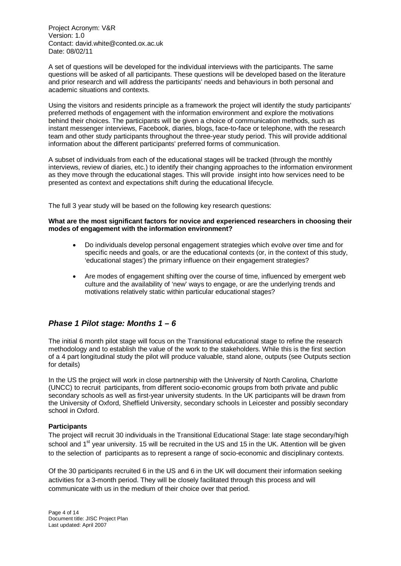A set of questions will be developed for the individual interviews with the participants. The same questions will be asked of all participants. These questions will be developed based on the literature and prior research and will address the participants' needs and behaviours in both personal and academic situations and contexts.

Using the visitors and residents principle as a framework the project will identify the study participants' preferred methods of engagement with the information environment and explore the motivations behind their choices. The participants will be given a choice of communication methods, such as instant messenger interviews, Facebook, diaries, blogs, face-to-face or telephone, with the research team and other study participants throughout the three-year study period. This will provide additional information about the different participants' preferred forms of communication.

A subset of individuals from each of the educational stages will be tracked (through the monthly interviews, review of diaries, etc.) to identify their changing approaches to the information environment as they move through the educational stages. This will provide insight into how services need to be presented as context and expectations shift during the educational lifecycle.

The full 3 year study will be based on the following key research questions:

#### **What are the most significant factors for novice and experienced researchers in choosing their modes of engagement with the information environment?**

- Do individuals develop personal engagement strategies which evolve over time and for specific needs and goals, or are the educational contexts (or, in the context of this study, 'educational stages') the primary influence on their engagement strategies?
- Are modes of engagement shifting over the course of time, influenced by emergent web culture and the availability of 'new' ways to engage, or are the underlying trends and motivations relatively static within particular educational stages?

## *Phase 1 Pilot stage: Months 1 – 6*

The initial 6 month pilot stage will focus on the Transitional educational stage to refine the research methodology and to establish the value of the work to the stakeholders. While this is the first section of a 4 part longitudinal study the pilot will produce valuable, stand alone, outputs (see Outputs section for details)

In the US the project will work in close partnership with the University of North Carolina, Charlotte (UNCC) to recruit participants, from different socio-economic groups from both private and public secondary schools as well as first-year university students. In the UK participants will be drawn from the University of Oxford, Sheffield University, secondary schools in Leicester and possibly secondary school in Oxford.

#### **Participants**

The project will recruit 30 individuals in the Transitional Educational Stage: late stage secondary/high school and  $1<sup>st</sup>$  year university. 15 will be recruited in the US and 15 in the UK. Attention will be given to the selection of participants as to represent a range of socio-economic and disciplinary contexts.

Of the 30 participants recruited 6 in the US and 6 in the UK will document their information seeking activities for a 3-month period. They will be closely facilitated through this process and will communicate with us in the medium of their choice over that period.

Page 4 of 14 Document title: JISC Project Plan Last updated: April 2007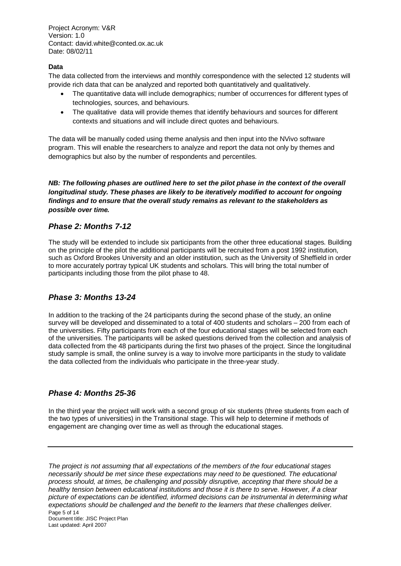#### **Data**

The data collected from the interviews and monthly correspondence with the selected 12 students will provide rich data that can be analyzed and reported both quantitatively and qualitatively.

- The quantitative data will include demographics; number of occurrences for different types of technologies, sources, and behaviours.
- The qualitative data will provide themes that identify behaviours and sources for different contexts and situations and will include direct quotes and behaviours.

The data will be manually coded using theme analysis and then input into the NVivo software program. This will enable the researchers to analyze and report the data not only by themes and demographics but also by the number of respondents and percentiles.

*NB: The following phases are outlined here to set the pilot phase in the context of the overall longitudinal study. These phases are likely to be iteratively modified to account for ongoing findings and to ensure that the overall study remains as relevant to the stakeholders as possible over time.*

### *Phase 2: Months 7-12*

The study will be extended to include six participants from the other three educational stages. Building on the principle of the pilot the additional participants will be recruited from a post 1992 institution, such as Oxford Brookes University and an older institution, such as the University of Sheffield in order to more accurately portray typical UK students and scholars. This will bring the total number of participants including those from the pilot phase to 48.

### *Phase 3: Months 13-24*

In addition to the tracking of the 24 participants during the second phase of the study, an online survey will be developed and disseminated to a total of 400 students and scholars – 200 from each of the universities. Fifty participants from each of the four educational stages will be selected from each of the universities. The participants will be asked questions derived from the collection and analysis of data collected from the 48 participants during the first two phases of the project. Since the longitudinal study sample is small, the online survey is a way to involve more participants in the study to validate the data collected from the individuals who participate in the three-year study.

### *Phase 4: Months 25-36*

In the third year the project will work with a second group of six students (three students from each of the two types of universities) in the Transitional stage. This will help to determine if methods of engagement are changing over time as well as through the educational stages.

*The project is not assuming that all expectations of the members of the four educational stages necessarily should be met since these expectations may need to be questioned. The educational process should, at times, be challenging and possibly disruptive, accepting that there should be a healthy tension between educational institutions and those it is there to serve. However, if a clear picture of expectations can be identified, informed decisions can be instrumental in determining what expectations should be challenged and the benefit to the learners that these challenges deliver.* 

Page 5 of 14 Document title: JISC Project Plan Last updated: April 2007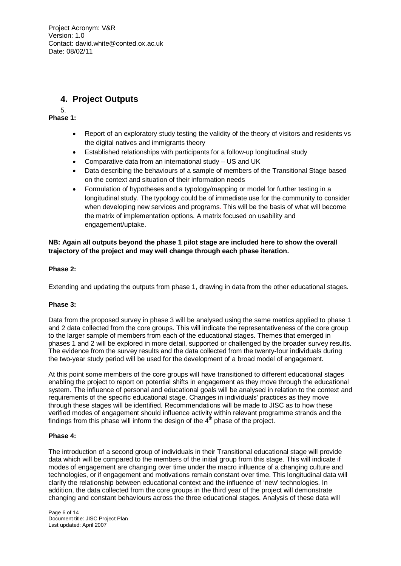## **4. Project Outputs**

#### 5. **Phase 1:**

- Report of an exploratory study testing the validity of the theory of visitors and residents vs the digital natives and immigrants theory
- Established relationships with participants for a follow-up longitudinal study
- Comparative data from an international study US and UK
- Data describing the behaviours of a sample of members of the Transitional Stage based on the context and situation of their information needs
- Formulation of hypotheses and a typology/mapping or model for further testing in a longitudinal study. The typology could be of immediate use for the community to consider when developing new services and programs. This will be the basis of what will become the matrix of implementation options. A matrix focused on usability and engagement/uptake.

#### **NB: Again all outputs beyond the phase 1 pilot stage are included here to show the overall trajectory of the project and may well change through each phase iteration.**

#### **Phase 2:**

Extending and updating the outputs from phase 1, drawing in data from the other educational stages.

#### **Phase 3:**

Data from the proposed survey in phase 3 will be analysed using the same metrics applied to phase 1 and 2 data collected from the core groups. This will indicate the representativeness of the core group to the larger sample of members from each of the educational stages. Themes that emerged in phases 1 and 2 will be explored in more detail, supported or challenged by the broader survey results. The evidence from the survey results and the data collected from the twenty-four individuals during the two-year study period will be used for the development of a broad model of engagement.

At this point some members of the core groups will have transitioned to different educational stages enabling the project to report on potential shifts in engagement as they move through the educational system. The influence of personal and educational goals will be analysed in relation to the context and requirements of the specific educational stage. Changes in individuals' practices as they move through these stages will be identified. Recommendations will be made to JISC as to how these verified modes of engagement should influence activity within relevant programme strands and the findings from this phase will inform the design of the  $4<sup>th</sup>$  phase of the project.

#### **Phase 4:**

The introduction of a second group of individuals in their Transitional educational stage will provide data which will be compared to the members of the initial group from this stage. This will indicate if modes of engagement are changing over time under the macro influence of a changing culture and technologies, or if engagement and motivations remain constant over time. This longitudinal data will clarify the relationship between educational context and the influence of 'new' technologies. In addition, the data collected from the core groups in the third year of the project will demonstrate changing and constant behaviours across the three educational stages. Analysis of these data will

Page 6 of 14 Document title: JISC Project Plan Last updated: April 2007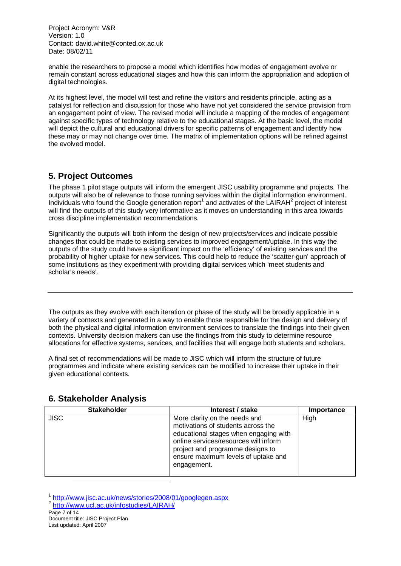enable the researchers to propose a model which identifies how modes of engagement evolve or remain constant across educational stages and how this can inform the appropriation and adoption of digital technologies.

At its highest level, the model will test and refine the visitors and residents principle, acting as a catalyst for reflection and discussion for those who have not yet considered the service provision from an engagement point of view. The revised model will include a mapping of the modes of engagement against specific types of technology relative to the educational stages. At the basic level, the model will depict the cultural and educational drivers for specific patterns of engagement and identify how these may or may not change over time. The matrix of implementation options will be refined against the evolved model.

## **5. Project Outcomes**

The phase 1 pilot stage outputs will inform the emergent JISC usability programme and projects. The outputs will also be of relevance to those running services within the digital information environment. Individuals who found the Google generation report<sup>[1](#page-6-0)</sup> and activates of the LAIRAH $^2$  $^2$  project of interest will find the outputs of this study very informative as it moves on understanding in this area towards cross discipline implementation recommendations.

Significantly the outputs will both inform the design of new projects/services and indicate possible changes that could be made to existing services to improved engagement/uptake. In this way the outputs of the study could have a significant impact on the 'efficiency' of existing services and the probability of higher uptake for new services. This could help to reduce the 'scatter-gun' approach of some institutions as they experiment with providing digital services which 'meet students and scholar's needs'.

The outputs as they evolve with each iteration or phase of the study will be broadly applicable in a variety of contexts and generated in a way to enable those responsible for the design and delivery of both the physical and digital information environment services to translate the findings into their given contexts. University decision makers can use the findings from this study to determine resource allocations for effective systems, services, and facilities that will engage both students and scholars.

A final set of recommendations will be made to JISC which will inform the structure of future programmes and indicate where existing services can be modified to increase their uptake in their given educational contexts.

## **6. Stakeholder Analysis**

| <b>Stakeholder</b> | Interest / stake                                                                                                                                                                                                                                | Importance |
|--------------------|-------------------------------------------------------------------------------------------------------------------------------------------------------------------------------------------------------------------------------------------------|------------|
| JISC               | More clarity on the needs and<br>motivations of students across the<br>educational stages when engaging with<br>online services/resources will inform<br>project and programme designs to<br>ensure maximum levels of uptake and<br>engagement. | High       |

<span id="page-6-0"></span><sup>1</sup> <http://www.jisc.ac.uk/news/stories/2008/01/googlegen.aspx><br>2 <http://www.ucl.ac.uk/infostudies/LAIRAH/>

Page 7 of 14 Document title: JISC Project Plan Last updated: April 2007

-

<span id="page-6-1"></span>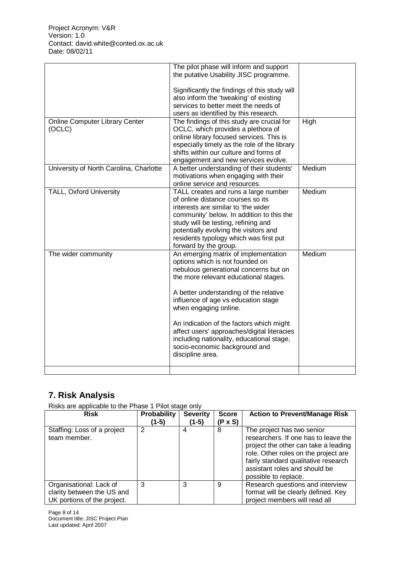|                                         | The pilot phase will inform and support       |        |
|-----------------------------------------|-----------------------------------------------|--------|
|                                         | the putative Usability JISC programme.        |        |
|                                         |                                               |        |
|                                         | Significantly the findings of this study will |        |
|                                         | also inform the 'tweaking' of existing        |        |
|                                         | services to better meet the needs of          |        |
|                                         | users as identified by this research.         |        |
| Online Computer Library Center          | The findings of this study are crucial for    | High   |
|                                         |                                               |        |
| (OCLC)                                  | OCLC, which provides a plethora of            |        |
|                                         | online library focused services. This is      |        |
|                                         | especially timely as the role of the library  |        |
|                                         | shifts within our culture and forms of        |        |
|                                         | engagement and new services evolve.           |        |
| University of North Carolina, Charlotte | A better understanding of their students'     | Medium |
|                                         | motivations when engaging with their          |        |
|                                         | online service and resources.                 |        |
| <b>TALL, Oxford University</b>          | TALL creates and runs a large number          | Medium |
|                                         | of online distance courses so its             |        |
|                                         | interests are similar to 'the wider           |        |
|                                         | community' below. In addition to this the     |        |
|                                         | study will be testing, refining and           |        |
|                                         | potentially evolving the visitors and         |        |
|                                         | residents typology which was first put        |        |
|                                         | forward by the group.                         |        |
| The wider community                     | An emerging matrix of implementation          | Medium |
|                                         | options which is not founded on               |        |
|                                         | nebulous generational concerns but on         |        |
|                                         | the more relevant educational stages.         |        |
|                                         |                                               |        |
|                                         | A better understanding of the relative        |        |
|                                         | influence of age vs education stage           |        |
|                                         | when engaging online.                         |        |
|                                         |                                               |        |
|                                         | An indication of the factors which might      |        |
|                                         | affect users' approaches/digital literacies   |        |
|                                         | including nationality, educational stage,     |        |
|                                         |                                               |        |
|                                         | socio-economic background and                 |        |
|                                         | discipline area.                              |        |
|                                         |                                               |        |
|                                         |                                               |        |

# **7. Risk Analysis**

Risks are applicable to the Phase 1 Pilot stage only

| <b>Risk</b>                                                                          | Probability<br>$(1-5)$ | <b>Severity</b><br>$(1-5)$ | <b>Score</b><br>(P x S) | <b>Action to Prevent/Manage Risk</b>                                                                                                                                                                                                                |
|--------------------------------------------------------------------------------------|------------------------|----------------------------|-------------------------|-----------------------------------------------------------------------------------------------------------------------------------------------------------------------------------------------------------------------------------------------------|
| Staffing: Loss of a project<br>team member.                                          | 2                      | 4                          | 8                       | The project has two senior<br>researchers. If one has to leave the<br>project the other can take a leading<br>role. Other roles on the project are<br>fairly standard qualitative research<br>assistant roles and should be<br>possible to replace. |
| Organisational: Lack of<br>clarity between the US and<br>UK portions of the project. | 3                      | 3                          | 9                       | Research questions and interview<br>format will be clearly defined. Key<br>project members will read all                                                                                                                                            |

Page 8 of 14 Document title: JISC Project Plan Last updated: April 2007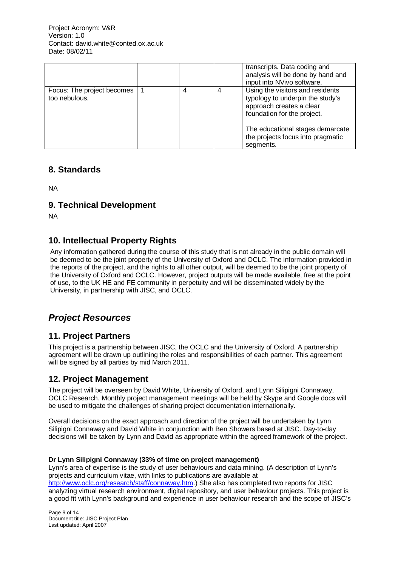|                                             |   | transcripts. Data coding and<br>analysis will be done by hand and<br>input into NVivo software.                                                                                                                       |
|---------------------------------------------|---|-----------------------------------------------------------------------------------------------------------------------------------------------------------------------------------------------------------------------|
| Focus: The project becomes<br>too nebulous. | 4 | Using the visitors and residents<br>typology to underpin the study's<br>approach creates a clear<br>foundation for the project.<br>The educational stages demarcate<br>the projects focus into pragmatic<br>segments. |

## **8. Standards**

NA

## **9. Technical Development**

NA

## **10. Intellectual Property Rights**

Any information gathered during the course of this study that is not already in the public domain will be deemed to be the joint property of the University of Oxford and OCLC. The information provided in the reports of the project, and the rights to all other output, will be deemed to be the joint property of the University of Oxford and OCLC. However, project outputs will be made available, free at the point of use, to the UK HE and FE community in perpetuity and will be disseminated widely by the University, in partnership with JISC, and OCLC.

# *Project Resources*

## **11. Project Partners**

This project is a partnership between JISC, the OCLC and the University of Oxford. A partnership agreement will be drawn up outlining the roles and responsibilities of each partner. This agreement will be signed by all parties by mid March 2011.

## **12. Project Management**

The project will be overseen by David White, University of Oxford, and Lynn Silipigni Connaway, OCLC Research. Monthly project management meetings will be held by Skype and Google docs will be used to mitigate the challenges of sharing project documentation internationally.

Overall decisions on the exact approach and direction of the project will be undertaken by Lynn Silipigni Connaway and David White in conjunction with Ben Showers based at JISC. Day-to-day decisions will be taken by Lynn and David as appropriate within the agreed framework of the project.

#### **Dr Lynn Silipigni Connaway (33% of time on project management)**

Lynn's area of expertise is the study of user behaviours and data mining. (A description of Lynn's projects and curriculum vitae, with links to publications are available at [http://www.oclc.org/research/staff/connaway.htm.](http://www.oclc.org/research/staff/connaway.htm)) She also has completed two reports for JISC analyzing virtual research environment, digital repository, and user behaviour projects. This project is a good fit with Lynn's background and experience in user behaviour research and the scope of JISC's

Page 9 of 14 Document title: JISC Project Plan Last updated: April 2007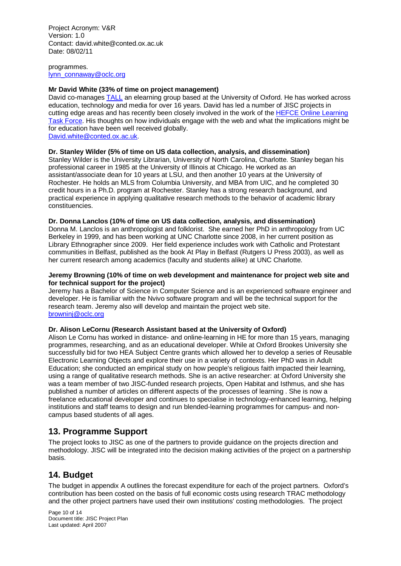programmes. [lynn\\_connaway@oclc.org](mailto:lynn_connaway@oclc.org)

#### **Mr David White (33% of time on project management)**

David co-manages [TALL](http://www.tall.ox.ac.uk/) an elearning group based at the University of Oxford. He has worked across education, technology and media for over 16 years. David has led a number of JISC projects in cutting edge areas and has recently been closely involved in the work of the [HEFCE Online Learning](http://www.hefce.ac.uk/news/hefce/2009/taskforce.htm)  [Task Force.](http://www.hefce.ac.uk/news/hefce/2009/taskforce.htm) His thoughts on how individuals engage with the web and what the implications might be for education have been well received globally.

[David.white@conted.ox.ac.uk.](mailto:David.white@conted.ox.ac.uk)

#### **Dr. Stanley Wilder (5% of time on US data collection, analysis, and dissemination)**

Stanley Wilder is the University Librarian, University of North Carolina, Charlotte. Stanley began his professional career in 1985 at the University of Illinois at Chicago. He worked as an assistant/associate dean for 10 years at LSU, and then another 10 years at the University of Rochester. He holds an MLS from Columbia University, and MBA from UIC, and he completed 30 credit hours in a Ph.D. program at Rochester. Stanley has a strong research background, and practical experience in applying qualitative research methods to the behavior of academic library constituencies.

#### **Dr. Donna Lanclos (10% of time on US data collection, analysis, and dissemination)**

Donna M. Lanclos is an anthropologist and folklorist. She earned her PhD in anthropology from UC Berkeley in 1999, and has been working at UNC Charlotte since 2008, in her current position as Library Ethnographer since 2009. Her field experience includes work with Catholic and Protestant communities in Belfast, published as the book At Play in Belfast (Rutgers U Press 2003), as well as her current research among academics (faculty and students alike) at UNC Charlotte.

#### **Jeremy Browning (10% of time on web development and maintenance for project web site and for technical support for the project)**

Jeremy has a Bachelor of Science in Computer Science and is an experienced software engineer and developer. He is familiar with the Nvivo software program and will be the technical support for the research team. Jeremy also will develop and maintain the project web site. [browninj@oclc.org](mailto:browninj@oclc.org)

#### **Dr. Alison LeCornu (Research Assistant based at the University of Oxford)**

Alison Le Cornu has worked in distance- and online-learning in HE for more than 15 years, managing programmes, researching, and as an educational developer. While at Oxford Brookes University she successfully bid for two HEA Subject Centre grants which allowed her to develop a series of Reusable Electronic Learning Objects and explore their use in a variety of contexts. Her PhD was in Adult Education; she conducted an empirical study on how people's religious faith impacted their learning, using a range of qualitative research methods. She is an active researcher: at Oxford University she was a team member of two JISC-funded research projects, Open Habitat and Isthmus, and she has published a number of articles on different aspects of the processes of learning . She is now a freelance educational developer and continues to specialise in technology-enhanced learning, helping institutions and staff teams to design and run blended-learning programmes for campus- and noncampus based students of all ages.

## **13. Programme Support**

The project looks to JISC as one of the partners to provide guidance on the projects direction and methodology. JISC will be integrated into the decision making activities of the project on a partnership basis.

## **14. Budget**

The budget in appendix A outlines the forecast expenditure for each of the project partners. Oxford's contribution has been costed on the basis of full economic costs using research TRAC methodology and the other project partners have used their own institutions' costing methodologies. The project

Page 10 of 14 Document title: JISC Project Plan Last updated: April 2007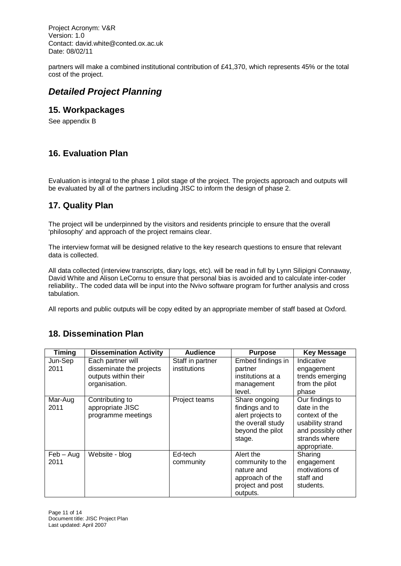partners will make a combined institutional contribution of £41,370, which represents 45% or the total cost of the project.

## *Detailed Project Planning*

## **15. Workpackages**

See appendix B

## **16. Evaluation Plan**

Evaluation is integral to the phase 1 pilot stage of the project. The projects approach and outputs will be evaluated by all of the partners including JISC to inform the design of phase 2.

## **17. Quality Plan**

The project will be underpinned by the visitors and residents principle to ensure that the overall 'philosophy' and approach of the project remains clear.

The interview format will be designed relative to the key research questions to ensure that relevant data is collected.

All data collected (interview transcripts, diary logs, etc). will be read in full by Lynn Silipigni Connaway, David White and Alison LeCornu to ensure that personal bias is avoided and to calculate inter-coder reliability.. The coded data will be input into the Nvivo software program for further analysis and cross tabulation.

All reports and public outputs will be copy edited by an appropriate member of staff based at Oxford.

## **18. Dissemination Plan**

| <b>Timing</b> | <b>Dissemination Activity</b> | <b>Audience</b>  | <b>Purpose</b>    | <b>Key Message</b> |
|---------------|-------------------------------|------------------|-------------------|--------------------|
| Jun-Sep       | Each partner will             | Staff in partner | Embed findings in | Indicative         |
| 2011          | disseminate the projects      | institutions     | partner           | engagement         |
|               | outputs within their          |                  | institutions at a | trends emerging    |
|               | organisation.                 |                  | management        | from the pilot     |
|               |                               |                  | level.            | phase              |
| Mar-Aug       | Contributing to               | Project teams    | Share ongoing     | Our findings to    |
| 2011          | appropriate JISC              |                  | findings and to   | date in the        |
|               | programme meetings            |                  | alert projects to | context of the     |
|               |                               |                  | the overall study | usability strand   |
|               |                               |                  | beyond the pilot  | and possibly other |
|               |                               |                  | stage.            | strands where      |
|               |                               |                  |                   | appropriate.       |
| $Feb - Aug$   | Website - blog                | Ed-tech          | Alert the         | Sharing            |
| 2011          |                               | community        | community to the  | engagement         |
|               |                               |                  | nature and        | motivations of     |
|               |                               |                  | approach of the   | staff and          |
|               |                               |                  | project and post  | students.          |
|               |                               |                  | outputs.          |                    |

Page 11 of 14 Document title: JISC Project Plan Last updated: April 2007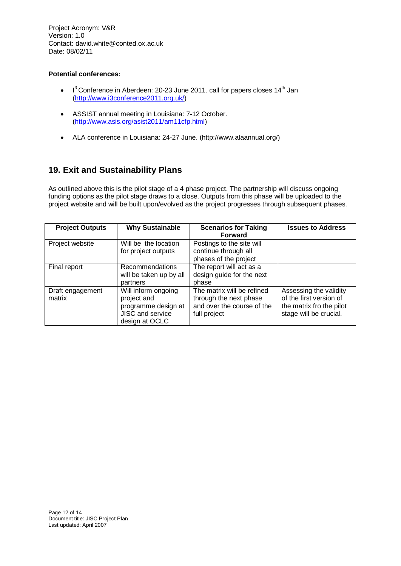#### **Potential conferences:**

- $\bullet$ 1<sup>3</sup> Conference in Aberdeen: 20-23 June 2011. call for papers closes 14<sup>th</sup> Jan [\(http://www.i3conference2011.org.uk/\)](http://www.i3conference2011.org.uk/)
- ASSIST annual meeting in Louisiana: 7-12 October. [\(http://www.asis.org/asist2011/am11cfp.html\)](http://www.asis.org/asist2011/am11cfp.html)
- ALA conference in Louisiana: 24-27 June. (http://www.alaannual.org/)

## **19. Exit and Sustainability Plans**

As outlined above this is the pilot stage of a 4 phase project. The partnership will discuss ongoing funding options as the pilot stage draws to a close. Outputs from this phase will be uploaded to the project website and will be built upon/evolved as the project progresses through subsequent phases.

| <b>Project Outputs</b>     | <b>Why Sustainable</b>                                                                          | <b>Scenarios for Taking</b><br><b>Forward</b>                                                      | <b>Issues to Address</b>                                                                                |
|----------------------------|-------------------------------------------------------------------------------------------------|----------------------------------------------------------------------------------------------------|---------------------------------------------------------------------------------------------------------|
| Project website            | Will be the location<br>for project outputs                                                     | Postings to the site will<br>continue through all<br>phases of the project                         |                                                                                                         |
| Final report               | Recommendations<br>will be taken up by all<br>partners                                          | The report will act as a<br>design guide for the next<br>phase                                     |                                                                                                         |
| Draft engagement<br>matrix | Will inform ongoing<br>project and<br>programme design at<br>JISC and service<br>design at OCLC | The matrix will be refined<br>through the next phase<br>and over the course of the<br>full project | Assessing the validity<br>of the first version of<br>the matrix fro the pilot<br>stage will be crucial. |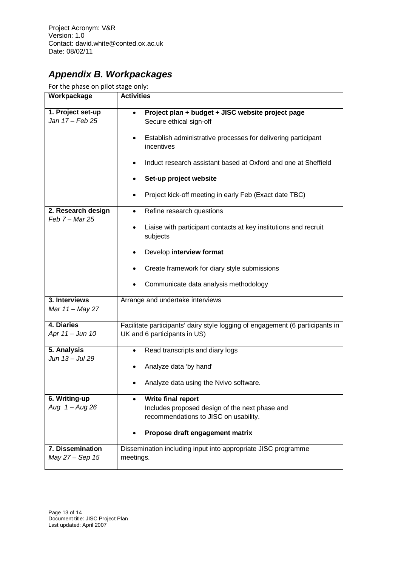# *Appendix B. Workpackages*

For the phase on pilot stage only:

| Workpackage                            | <b>Activities</b>                                                                         |
|----------------------------------------|-------------------------------------------------------------------------------------------|
| 1. Project set-up<br>Jan 17 - Feb 25   | Project plan + budget + JISC website project page<br>$\bullet$<br>Secure ethical sign-off |
|                                        | Establish administrative processes for delivering participant<br>$\bullet$<br>incentives  |
|                                        | Induct research assistant based at Oxford and one at Sheffield                            |
|                                        | Set-up project website                                                                    |
|                                        | Project kick-off meeting in early Feb (Exact date TBC)<br>$\bullet$                       |
| 2. Research design<br>$Feb 7 - Mar 25$ | Refine research questions<br>$\bullet$                                                    |
|                                        | Liaise with participant contacts at key institutions and recruit<br>$\bullet$<br>subjects |
|                                        | Develop interview format                                                                  |
|                                        | Create framework for diary style submissions                                              |
|                                        | Communicate data analysis methodology<br>$\bullet$                                        |
| 3. Interviews<br>Mar 11 - May 27       | Arrange and undertake interviews                                                          |
| 4. Diaries                             | Facilitate participants' dairy style logging of engagement (6 participants in             |
| Apr 11 - Jun 10                        | UK and 6 participants in US)                                                              |
| 5. Analysis<br>Jun 13 - Jul 29         | Read transcripts and diary logs<br>$\bullet$                                              |
|                                        | Analyze data 'by hand'                                                                    |
|                                        | Analyze data using the Nvivo software.                                                    |
| 6. Writing-up                          | Write final report<br>$\bullet$                                                           |
| Aug $1 - Aug26$                        | Includes proposed design of the next phase and<br>recommendations to JISC on usability.   |
|                                        | Propose draft engagement matrix                                                           |
| 7. Dissemination                       | Dissemination including input into appropriate JISC programme                             |
| May 27 - Sep 15                        | meetings.                                                                                 |